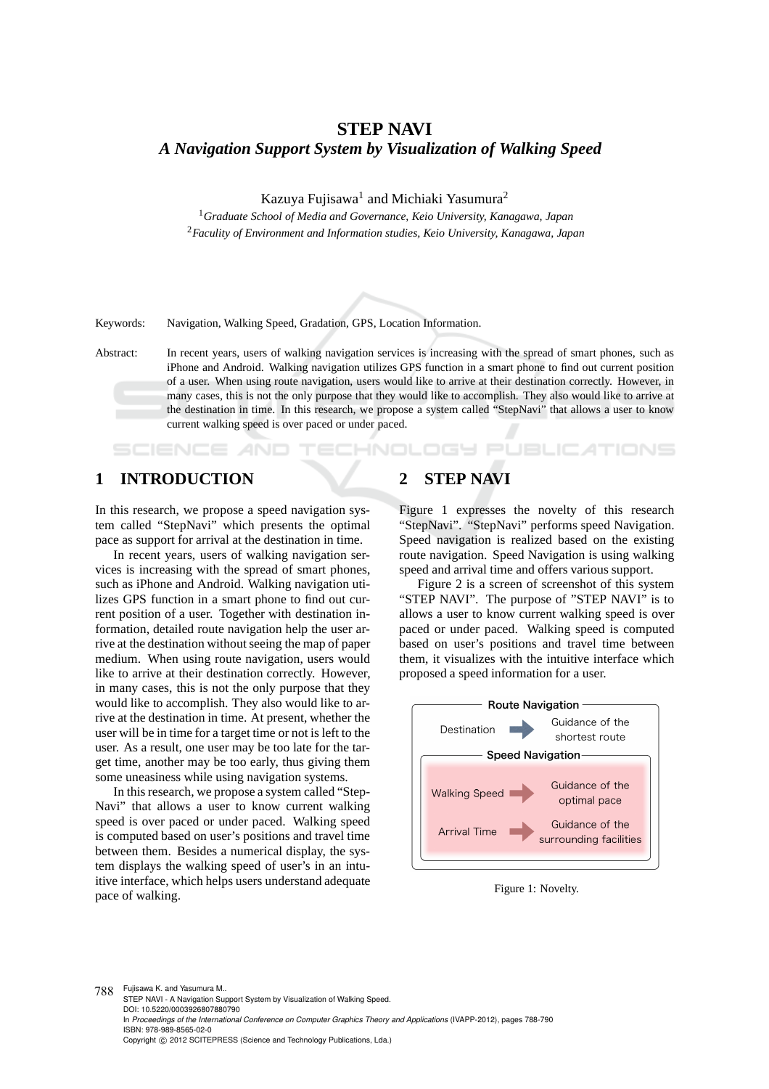# **STEP NAVI** *A Navigation Support System by Visualization of Walking Speed*

Kazuya Fujisawa<sup>1</sup> and Michiaki Yasumura<sup>2</sup>

<sup>1</sup>*Graduate School of Media and Governance, Keio University, Kanagawa, Japan* <sup>2</sup>*Faculity of Environment and Information studies, Keio University, Kanagawa, Japan*

Keywords: Navigation, Walking Speed, Gradation, GPS, Location Information.

Abstract: In recent years, users of walking navigation services is increasing with the spread of smart phones, such as iPhone and Android. Walking navigation utilizes GPS function in a smart phone to find out current position of a user. When using route navigation, users would like to arrive at their destination correctly. However, in many cases, this is not the only purpose that they would like to accomplish. They also would like to arrive at the destination in time. In this research, we propose a system called "StepNavi" that allows a user to know current walking speed is over paced or under paced.

TECHNOLOGY

### **1 INTRODUCTION**

SCIENCE *A*ND

In this research, we propose a speed navigation system called "StepNavi" which presents the optimal pace as support for arrival at the destination in time.

In recent years, users of walking navigation services is increasing with the spread of smart phones, such as iPhone and Android. Walking navigation utilizes GPS function in a smart phone to find out current position of a user. Together with destination information, detailed route navigation help the user arrive at the destination without seeing the map of paper medium. When using route navigation, users would like to arrive at their destination correctly. However, in many cases, this is not the only purpose that they would like to accomplish. They also would like to arrive at the destination in time. At present, whether the user will be in time for a target time or not is left to the user. As a result, one user may be too late for the target time, another may be too early, thus giving them some uneasiness while using navigation systems.

In this research, we propose a system called "Step-Navi" that allows a user to know current walking speed is over paced or under paced. Walking speed is computed based on user's positions and travel time between them. Besides a numerical display, the system displays the walking speed of user's in an intuitive interface, which helps users understand adequate pace of walking.

## **2 STEP NAVI**

Figure 1 expresses the novelty of this research "StepNavi". "StepNavi" performs speed Navigation. Speed navigation is realized based on the existing route navigation. Speed Navigation is using walking speed and arrival time and offers various support.

**JBLIC ATIONS** 

Figure 2 is a screen of screenshot of this system "STEP NAVI". The purpose of "STEP NAVI" is to allows a user to know current walking speed is over paced or under paced. Walking speed is computed based on user's positions and travel time between them, it visualizes with the intuitive interface which proposed a speed information for a user.



Figure 1: Novelty.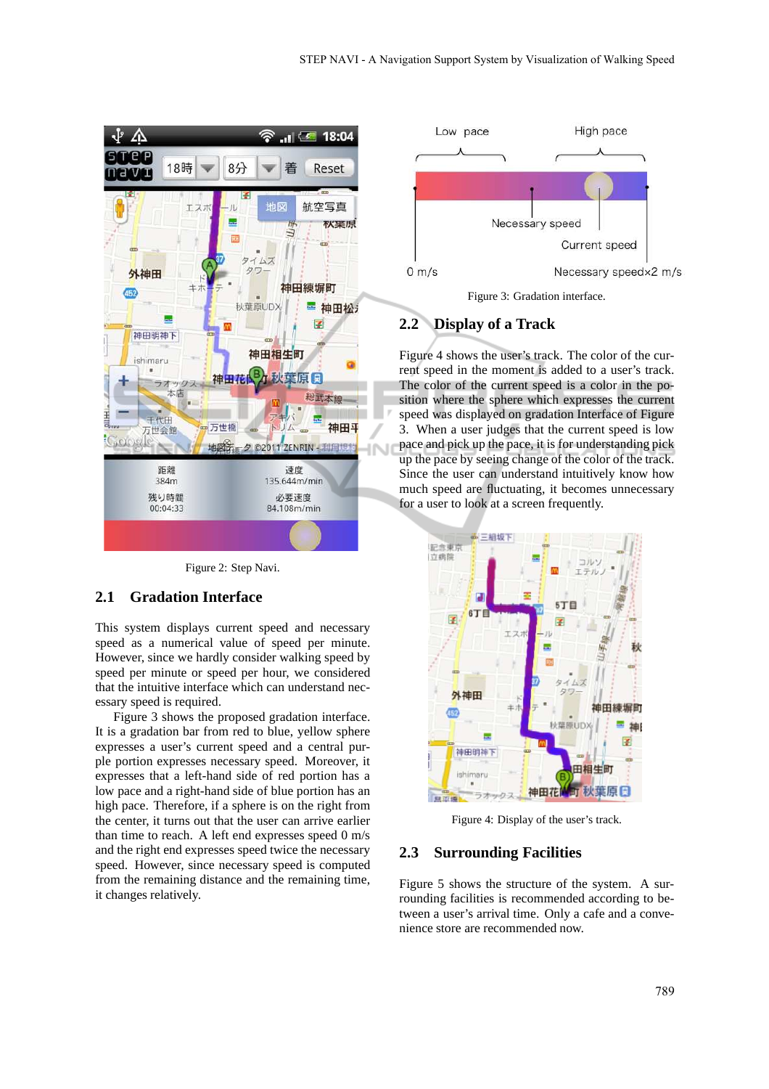

Figure 2: Step Navi.

### **2.1 Gradation Interface**

This system displays current speed and necessary speed as a numerical value of speed per minute. However, since we hardly consider walking speed by speed per minute or speed per hour, we considered that the intuitive interface which can understand necessary speed is required.

Figure 3 shows the proposed gradation interface. It is a gradation bar from red to blue, yellow sphere expresses a user's current speed and a central purple portion expresses necessary speed. Moreover, it expresses that a left-hand side of red portion has a low pace and a right-hand side of blue portion has an high pace. Therefore, if a sphere is on the right from the center, it turns out that the user can arrive earlier than time to reach. A left end expresses speed 0 m/s and the right end expresses speed twice the necessary speed. However, since necessary speed is computed from the remaining distance and the remaining time, it changes relatively.



### **2.2 Display of a Track**

Figure 4 shows the user's track. The color of the current speed in the moment is added to a user's track. The color of the current speed is a color in the position where the sphere which expresses the current speed was displayed on gradation Interface of Figure 3. When a user judges that the current speed is low pace and pick up the pace, it is for understanding pick up the pace by seeing change of the color of the track. Since the user can understand intuitively know how much speed are fluctuating, it becomes unnecessary for a user to look at a screen frequently.



Figure 4: Display of the user's track.

### **2.3 Surrounding Facilities**

Figure 5 shows the structure of the system. A surrounding facilities is recommended according to between a user's arrival time. Only a cafe and a convenience store are recommended now.